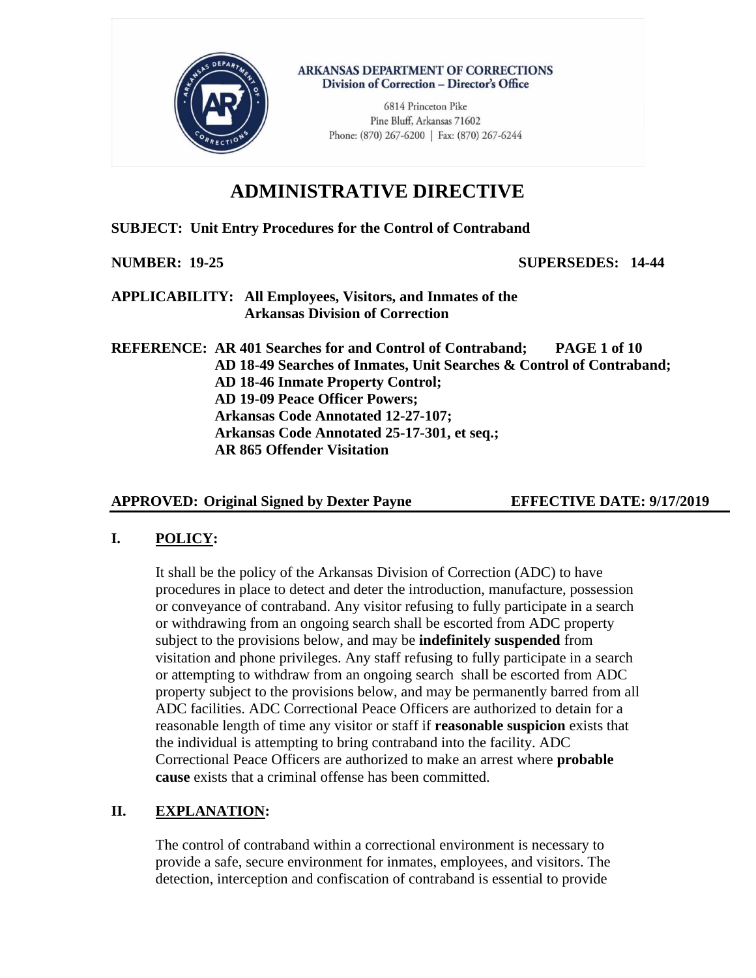

**ARKANSAS DEPARTMENT OF CORRECTIONS** Division of Correction - Director's Office

> 6814 Princeton Pike Pine Bluff, Arkansas 71602 Phone: (870) 267-6200 | Fax: (870) 267-6244

# **ADMINISTRATIVE DIRECTIVE**

## **SUBJECT: Unit Entry Procedures for the Control of Contraband**

**NUMBER: 19-25 SUPERSEDES: 14-44**

**APPLICABILITY: All Employees, Visitors, and Inmates of the Arkansas Division of Correction**

**REFERENCE: AR 401 Searches for and Control of Contraband; PAGE 1 of 10 AD 18-49 Searches of Inmates, Unit Searches & Control of Contraband; AD 18-46 Inmate Property Control; AD 19-09 Peace Officer Powers; Arkansas Code Annotated 12-27-107; Arkansas Code Annotated 25-17-301, et seq.; AR 865 Offender Visitation**

## **APPROVED: Original Signed by Dexter Payne EFFECTIVE DATE: 9/17/2019**

## **I. POLICY:**

It shall be the policy of the Arkansas Division of Correction (ADC) to have procedures in place to detect and deter the introduction, manufacture, possession or conveyance of contraband. Any visitor refusing to fully participate in a search or withdrawing from an ongoing search shall be escorted from ADC property subject to the provisions below, and may be **indefinitely suspended** from visitation and phone privileges. Any staff refusing to fully participate in a search or attempting to withdraw from an ongoing search shall be escorted from ADC property subject to the provisions below, and may be permanently barred from all ADC facilities. ADC Correctional Peace Officers are authorized to detain for a reasonable length of time any visitor or staff if **reasonable suspicion** exists that the individual is attempting to bring contraband into the facility. ADC Correctional Peace Officers are authorized to make an arrest where **probable cause** exists that a criminal offense has been committed.

## **II. EXPLANATION:**

The control of contraband within a correctional environment is necessary to provide a safe, secure environment for inmates, employees, and visitors. The detection, interception and confiscation of contraband is essential to provide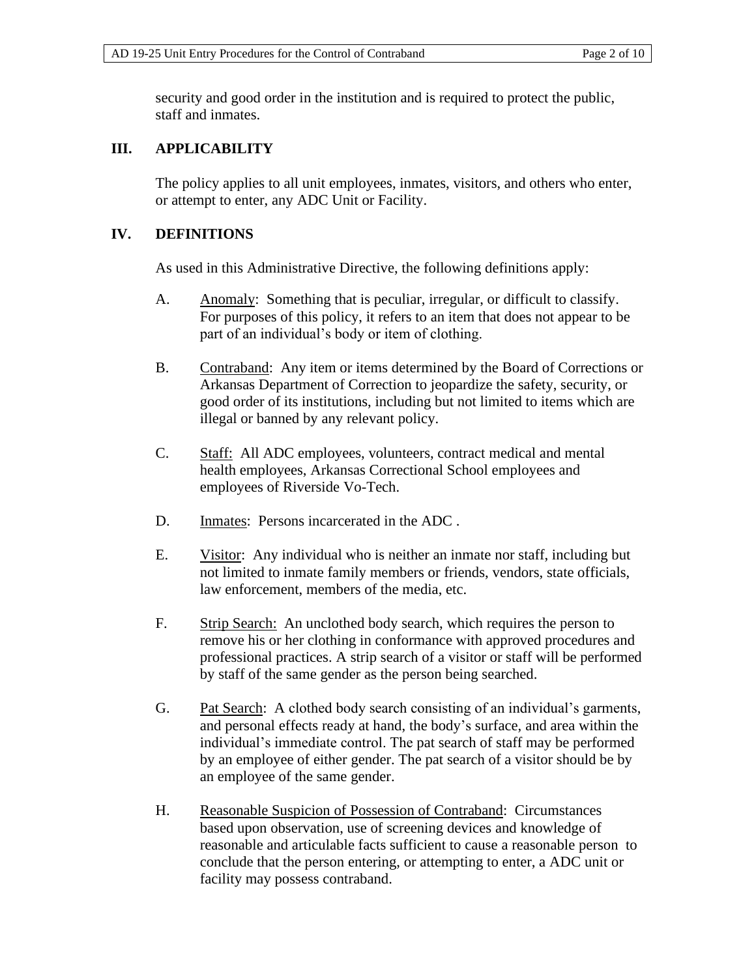security and good order in the institution and is required to protect the public, staff and inmates.

## **III. APPLICABILITY**

The policy applies to all unit employees, inmates, visitors, and others who enter, or attempt to enter, any ADC Unit or Facility.

## **IV. DEFINITIONS**

As used in this Administrative Directive, the following definitions apply:

- A. Anomaly: Something that is peculiar, irregular, or difficult to classify. For purposes of this policy, it refers to an item that does not appear to be part of an individual's body or item of clothing.
- B. Contraband: Any item or items determined by the Board of Corrections or Arkansas Department of Correction to jeopardize the safety, security, or good order of its institutions, including but not limited to items which are illegal or banned by any relevant policy.
- C. Staff: All ADC employees, volunteers, contract medical and mental health employees, Arkansas Correctional School employees and employees of Riverside Vo-Tech.
- D. Inmates: Persons incarcerated in the ADC .
- E. Visitor: Any individual who is neither an inmate nor staff, including but not limited to inmate family members or friends, vendors, state officials, law enforcement, members of the media, etc.
- F. Strip Search: An unclothed body search, which requires the person to remove his or her clothing in conformance with approved procedures and professional practices. A strip search of a visitor or staff will be performed by staff of the same gender as the person being searched.
- G. Pat Search: A clothed body search consisting of an individual's garments, and personal effects ready at hand, the body's surface, and area within the individual's immediate control. The pat search of staff may be performed by an employee of either gender. The pat search of a visitor should be by an employee of the same gender.
- H. Reasonable Suspicion of Possession of Contraband: Circumstances based upon observation, use of screening devices and knowledge of reasonable and articulable facts sufficient to cause a reasonable person to conclude that the person entering, or attempting to enter, a ADC unit or facility may possess contraband.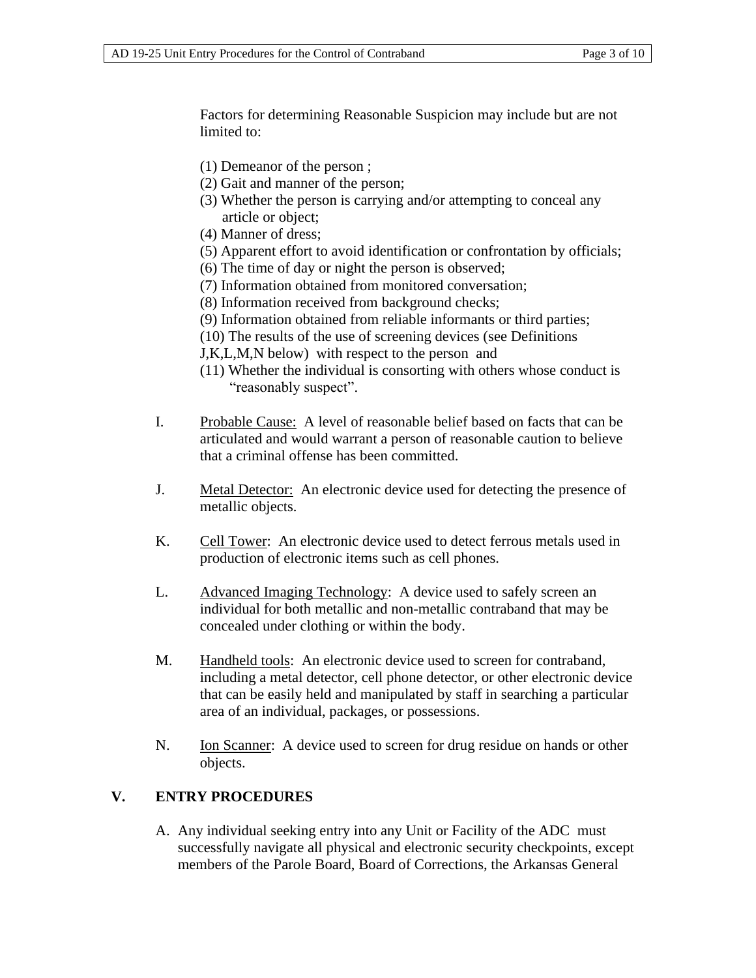Factors for determining Reasonable Suspicion may include but are not limited to:

- (1) Demeanor of the person ;
- (2) Gait and manner of the person;
- (3) Whether the person is carrying and/or attempting to conceal any article or object;
- (4) Manner of dress;
- (5) Apparent effort to avoid identification or confrontation by officials;
- (6) The time of day or night the person is observed;
- (7) Information obtained from monitored conversation;
- (8) Information received from background checks;
- (9) Information obtained from reliable informants or third parties;
- (10) The results of the use of screening devices (see Definitions
- J,K,L,M,N below) with respect to the person and
- (11) Whether the individual is consorting with others whose conduct is "reasonably suspect".
- I. Probable Cause: A level of reasonable belief based on facts that can be articulated and would warrant a person of reasonable caution to believe that a criminal offense has been committed.
- J. Metal Detector: An electronic device used for detecting the presence of metallic objects.
- K. Cell Tower: An electronic device used to detect ferrous metals used in production of electronic items such as cell phones.
- L. Advanced Imaging Technology: A device used to safely screen an individual for both metallic and non-metallic contraband that may be concealed under clothing or within the body.
- M. Handheld tools: An electronic device used to screen for contraband, including a metal detector, cell phone detector, or other electronic device that can be easily held and manipulated by staff in searching a particular area of an individual, packages, or possessions.
- N. Ion Scanner: A device used to screen for drug residue on hands or other objects.

### **V. ENTRY PROCEDURES**

A. Any individual seeking entry into any Unit or Facility of the ADC must successfully navigate all physical and electronic security checkpoints, except members of the Parole Board, Board of Corrections, the Arkansas General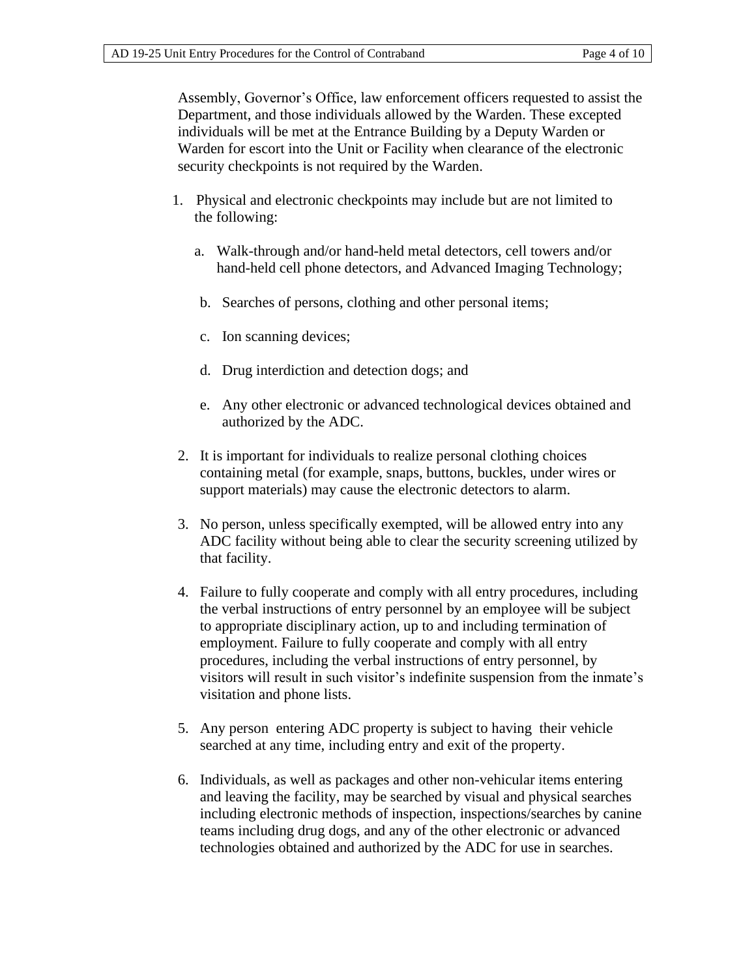Assembly, Governor's Office, law enforcement officers requested to assist the Department, and those individuals allowed by the Warden. These excepted individuals will be met at the Entrance Building by a Deputy Warden or Warden for escort into the Unit or Facility when clearance of the electronic security checkpoints is not required by the Warden.

- 1. Physical and electronic checkpoints may include but are not limited to the following:
	- a. Walk-through and/or hand-held metal detectors, cell towers and/or hand-held cell phone detectors, and Advanced Imaging Technology;
	- b. Searches of persons, clothing and other personal items;
	- c. Ion scanning devices;
	- d. Drug interdiction and detection dogs; and
	- e. Any other electronic or advanced technological devices obtained and authorized by the ADC.
- 2. It is important for individuals to realize personal clothing choices containing metal (for example, snaps, buttons, buckles, under wires or support materials) may cause the electronic detectors to alarm.
- 3. No person, unless specifically exempted, will be allowed entry into any ADC facility without being able to clear the security screening utilized by that facility.
- 4. Failure to fully cooperate and comply with all entry procedures, including the verbal instructions of entry personnel by an employee will be subject to appropriate disciplinary action, up to and including termination of employment. Failure to fully cooperate and comply with all entry procedures, including the verbal instructions of entry personnel, by visitors will result in such visitor's indefinite suspension from the inmate's visitation and phone lists.
- 5. Any person entering ADC property is subject to having their vehicle searched at any time, including entry and exit of the property.
- 6. Individuals, as well as packages and other non-vehicular items entering and leaving the facility, may be searched by visual and physical searches including electronic methods of inspection, inspections/searches by canine teams including drug dogs, and any of the other electronic or advanced technologies obtained and authorized by the ADC for use in searches.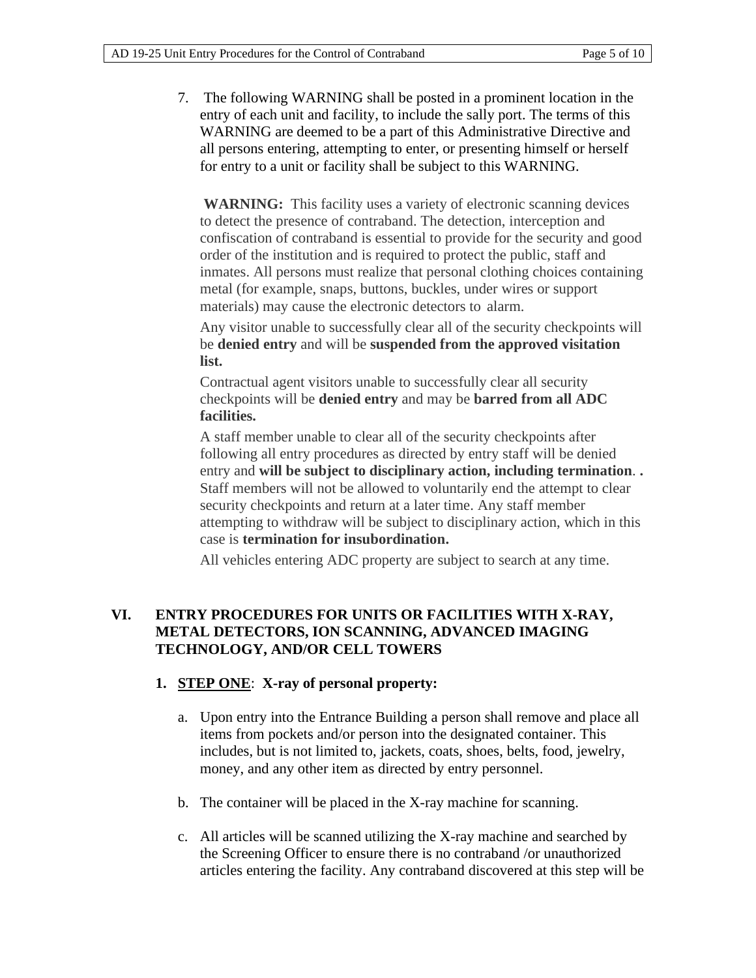7. The following WARNING shall be posted in a prominent location in the entry of each unit and facility, to include the sally port. The terms of this WARNING are deemed to be a part of this Administrative Directive and all persons entering, attempting to enter, or presenting himself or herself for entry to a unit or facility shall be subject to this WARNING.

WARNING: This facility uses a variety of electronic scanning devices to detect the presence of contraband. The detection, interception and confiscation of contraband is essential to provide for the security and good order of the institution and is required to protect the public, staff and inmates. All persons must realize that personal clothing choices containing metal (for example, snaps, buttons, buckles, under wires or support materials) may cause the electronic detectors to alarm.

Any visitor unable to successfully clear all of the security checkpoints will be **denied entry** and will be **suspended from the approved visitation list.**

Contractual agent visitors unable to successfully clear all security checkpoints will be **denied entry** and may be **barred from all ADC facilities.**

A staff member unable to clear all of the security checkpoints after following all entry procedures as directed by entry staff will be denied entry and **will be subject to disciplinary action, including termination**. **.**  Staff members will not be allowed to voluntarily end the attempt to clear security checkpoints and return at a later time. Any staff member attempting to withdraw will be subject to disciplinary action, which in this case is **termination for insubordination.**

All vehicles entering ADC property are subject to search at any time.

## **VI. ENTRY PROCEDURES FOR UNITS OR FACILITIES WITH X-RAY, METAL DETECTORS, ION SCANNING, ADVANCED IMAGING TECHNOLOGY, AND/OR CELL TOWERS**

#### **1. STEP ONE**: **X-ray of personal property:**

- a. Upon entry into the Entrance Building a person shall remove and place all items from pockets and/or person into the designated container. This includes, but is not limited to, jackets, coats, shoes, belts, food, jewelry, money, and any other item as directed by entry personnel.
- b. The container will be placed in the X-ray machine for scanning.
- c. All articles will be scanned utilizing the X-ray machine and searched by the Screening Officer to ensure there is no contraband /or unauthorized articles entering the facility. Any contraband discovered at this step will be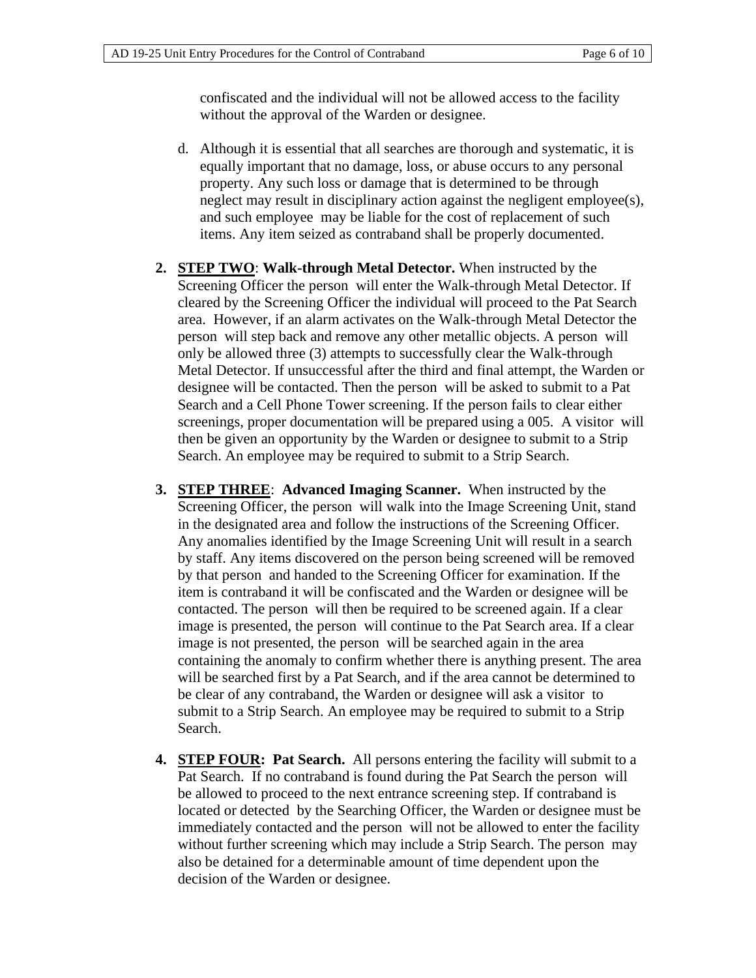confiscated and the individual will not be allowed access to the facility without the approval of the Warden or designee.

- d. Although it is essential that all searches are thorough and systematic, it is equally important that no damage, loss, or abuse occurs to any personal property. Any such loss or damage that is determined to be through neglect may result in disciplinary action against the negligent employee(s), and such employee may be liable for the cost of replacement of such items. Any item seized as contraband shall be properly documented.
- **2. STEP TWO**: **Walk-through Metal Detector.** When instructed by the Screening Officer the person will enter the Walk-through Metal Detector. If cleared by the Screening Officer the individual will proceed to the Pat Search area. However, if an alarm activates on the Walk-through Metal Detector the person will step back and remove any other metallic objects. A person will only be allowed three (3) attempts to successfully clear the Walk-through Metal Detector. If unsuccessful after the third and final attempt, the Warden or designee will be contacted. Then the person will be asked to submit to a Pat Search and a Cell Phone Tower screening. If the person fails to clear either screenings, proper documentation will be prepared using a 005. A visitor will then be given an opportunity by the Warden or designee to submit to a Strip Search. An employee may be required to submit to a Strip Search.
- **3. STEP THREE**: **Advanced Imaging Scanner.** When instructed by the Screening Officer, the person will walk into the Image Screening Unit, stand in the designated area and follow the instructions of the Screening Officer. Any anomalies identified by the Image Screening Unit will result in a search by staff. Any items discovered on the person being screened will be removed by that person and handed to the Screening Officer for examination. If the item is contraband it will be confiscated and the Warden or designee will be contacted. The person will then be required to be screened again. If a clear image is presented, the person will continue to the Pat Search area. If a clear image is not presented, the person will be searched again in the area containing the anomaly to confirm whether there is anything present. The area will be searched first by a Pat Search, and if the area cannot be determined to be clear of any contraband, the Warden or designee will ask a visitor to submit to a Strip Search. An employee may be required to submit to a Strip Search.
- **4. STEP FOUR: Pat Search.** All persons entering the facility will submit to a Pat Search. If no contraband is found during the Pat Search the person will be allowed to proceed to the next entrance screening step. If contraband is located or detected by the Searching Officer, the Warden or designee must be immediately contacted and the person will not be allowed to enter the facility without further screening which may include a Strip Search. The person may also be detained for a determinable amount of time dependent upon the decision of the Warden or designee.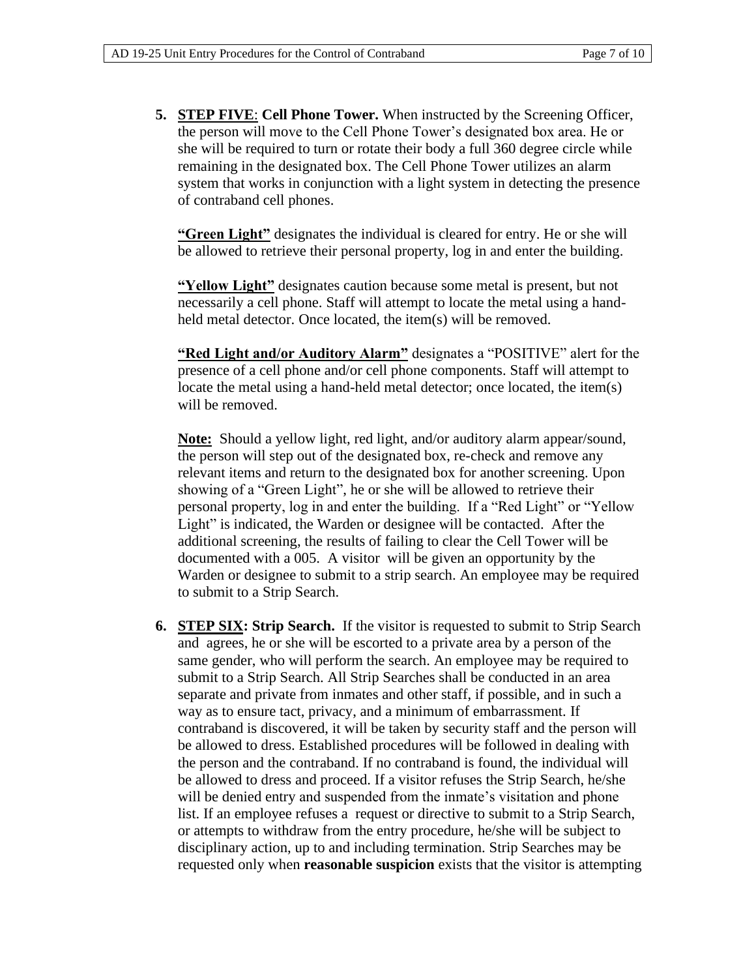**5. STEP FIVE**: **Cell Phone Tower.** When instructed by the Screening Officer, the person will move to the Cell Phone Tower's designated box area. He or she will be required to turn or rotate their body a full 360 degree circle while remaining in the designated box. The Cell Phone Tower utilizes an alarm system that works in conjunction with a light system in detecting the presence of contraband cell phones.

**"Green Light"** designates the individual is cleared for entry. He or she will be allowed to retrieve their personal property, log in and enter the building.

**"Yellow Light"** designates caution because some metal is present, but not necessarily a cell phone. Staff will attempt to locate the metal using a handheld metal detector. Once located, the item(s) will be removed.

**"Red Light and/or Auditory Alarm"** designates a "POSITIVE" alert for the presence of a cell phone and/or cell phone components. Staff will attempt to locate the metal using a hand-held metal detector; once located, the item(s) will be removed.

**Note:** Should a yellow light, red light, and/or auditory alarm appear/sound, the person will step out of the designated box, re-check and remove any relevant items and return to the designated box for another screening. Upon showing of a "Green Light", he or she will be allowed to retrieve their personal property, log in and enter the building. If a "Red Light" or "Yellow Light" is indicated, the Warden or designee will be contacted. After the additional screening, the results of failing to clear the Cell Tower will be documented with a 005. A visitor will be given an opportunity by the Warden or designee to submit to a strip search. An employee may be required to submit to a Strip Search.

**6. STEP SIX: Strip Search.** If the visitor is requested to submit to Strip Search and agrees, he or she will be escorted to a private area by a person of the same gender, who will perform the search. An employee may be required to submit to a Strip Search. All Strip Searches shall be conducted in an area separate and private from inmates and other staff, if possible, and in such a way as to ensure tact, privacy, and a minimum of embarrassment. If contraband is discovered, it will be taken by security staff and the person will be allowed to dress. Established procedures will be followed in dealing with the person and the contraband. If no contraband is found, the individual will be allowed to dress and proceed. If a visitor refuses the Strip Search, he/she will be denied entry and suspended from the inmate's visitation and phone list. If an employee refuses a request or directive to submit to a Strip Search, or attempts to withdraw from the entry procedure, he/she will be subject to disciplinary action, up to and including termination. Strip Searches may be requested only when **reasonable suspicion** exists that the visitor is attempting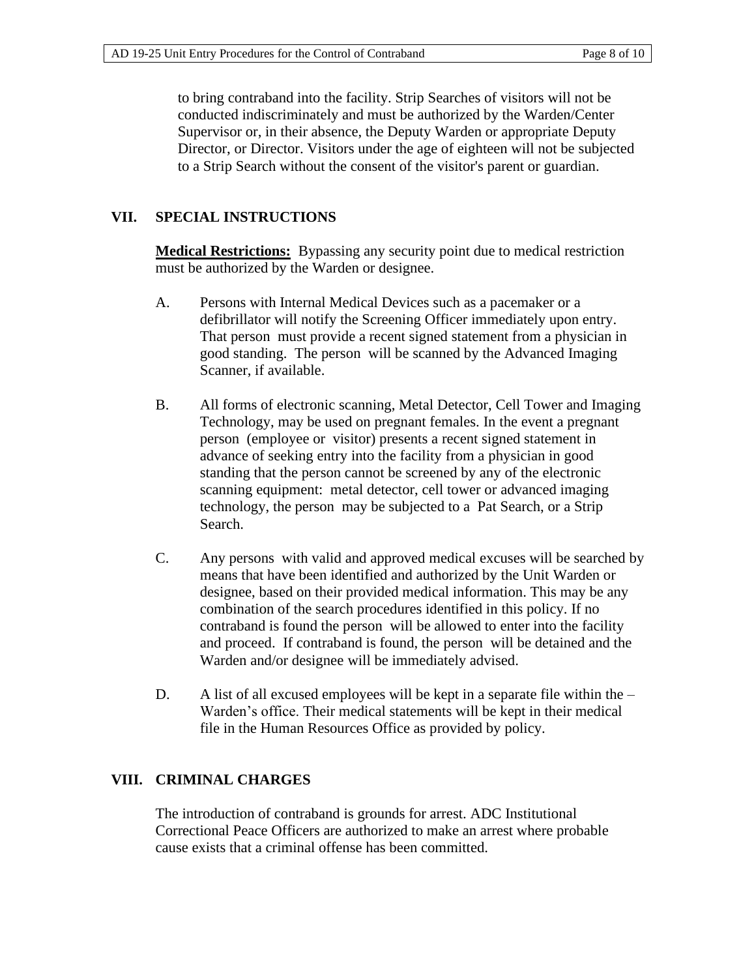to bring contraband into the facility. Strip Searches of visitors will not be conducted indiscriminately and must be authorized by the Warden/Center Supervisor or, in their absence, the Deputy Warden or appropriate Deputy Director, or Director. Visitors under the age of eighteen will not be subjected to a Strip Search without the consent of the visitor's parent or guardian.

## **VII. SPECIAL INSTRUCTIONS**

**Medical Restrictions:** Bypassing any security point due to medical restriction must be authorized by the Warden or designee.

- A. Persons with Internal Medical Devices such as a pacemaker or a defibrillator will notify the Screening Officer immediately upon entry. That person must provide a recent signed statement from a physician in good standing. The person will be scanned by the Advanced Imaging Scanner, if available.
- B. All forms of electronic scanning, Metal Detector, Cell Tower and Imaging Technology, may be used on pregnant females. In the event a pregnant person (employee or visitor) presents a recent signed statement in advance of seeking entry into the facility from a physician in good standing that the person cannot be screened by any of the electronic scanning equipment: metal detector, cell tower or advanced imaging technology, the person may be subjected to a Pat Search, or a Strip Search.
- C. Any persons with valid and approved medical excuses will be searched by means that have been identified and authorized by the Unit Warden or designee, based on their provided medical information. This may be any combination of the search procedures identified in this policy. If no contraband is found the person will be allowed to enter into the facility and proceed. If contraband is found, the person will be detained and the Warden and/or designee will be immediately advised.
- D. A list of all excused employees will be kept in a separate file within the  $-$ Warden's office. Their medical statements will be kept in their medical file in the Human Resources Office as provided by policy.

## **VIII. CRIMINAL CHARGES**

The introduction of contraband is grounds for arrest. ADC Institutional Correctional Peace Officers are authorized to make an arrest where probable cause exists that a criminal offense has been committed.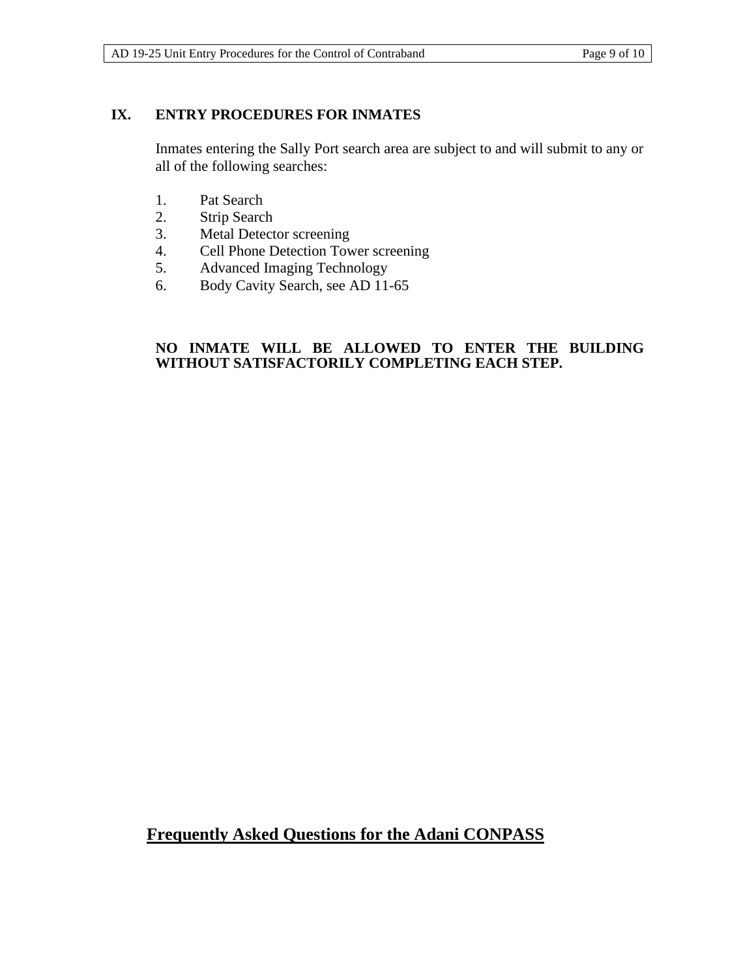## **IX. ENTRY PROCEDURES FOR INMATES**

Inmates entering the Sally Port search area are subject to and will submit to any or all of the following searches:

- 1. Pat Search
- 2. Strip Search
- 3. Metal Detector screening
- 4. Cell Phone Detection Tower screening
- 5. Advanced Imaging Technology
- 6. Body Cavity Search, see AD 11-65

#### **NO INMATE WILL BE ALLOWED TO ENTER THE BUILDING WITHOUT SATISFACTORILY COMPLETING EACH STEP.**

## **Frequently Asked Questions for the Adani CONPASS**